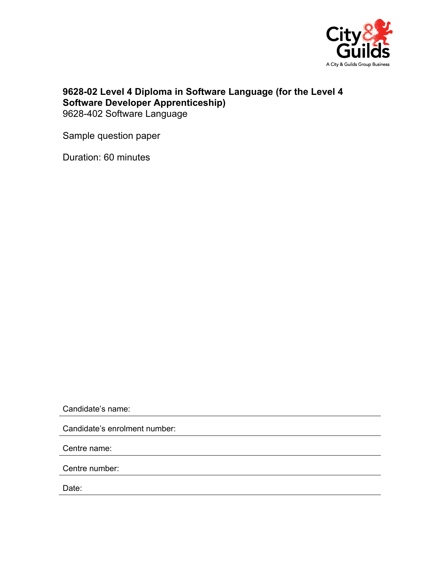

## **9628-02 Level 4 Diploma in Software Language (for the Level 4 Software Developer Apprenticeship)**  9628-402 Software Language

Sample question paper

Duration: 60 minutes

Candidate's name:

Candidate's enrolment number:

Centre name:

Centre number:

Date: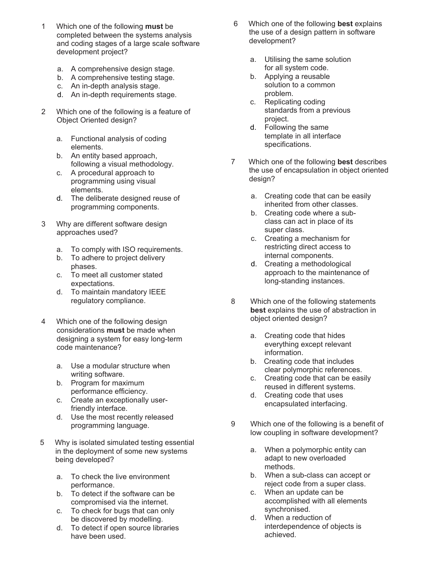- 1 Which one of the following **must** be completed between the systems analysis and coding stages of a large scale software development project?
	- a. A comprehensive design stage.
	- b. A comprehensive testing stage.
	- c. An in-depth analysis stage.
	- d. An in-depth requirements stage.
- 2 Which one of the following is a feature of Object Oriented design?
	- a. Functional analysis of coding elements.
	- b. An entity based approach, following a visual methodology.
	- c. A procedural approach to programming using visual elements.
	- d. The deliberate designed reuse of programming components.
- 3 Why are different software design approaches used?
	- a. To comply with ISO requirements.
	- b. To adhere to project delivery phases.
	- c. To meet all customer stated expectations.
	- d. To maintain mandatory IEEE regulatory compliance.
- 4 Which one of the following design considerations **must** be made when designing a system for easy long-term code maintenance?
	- a. Use a modular structure when writing software.
	- b. Program for maximum performance efficiency.
	- c. Create an exceptionally userfriendly interface.
	- d. Use the most recently released programming language.
- 5 Why is isolated simulated testing essential in the deployment of some new systems being developed?
	- a. To check the live environment performance.
	- b. To detect if the software can be compromised via the internet.
	- c. To check for bugs that can only be discovered by modelling.
	- d. To detect if open source libraries have been used.
- 6 Which one of the following **best** explains the use of a design pattern in software development?
	- a. Utilising the same solution for all system code.
	- b. Applying a reusable solution to a common problem.
	- c. Replicating coding standards from a previous project.
	- d. Following the same template in all interface specifications.
- 7 Which one of the following **best** describes the use of encapsulation in object oriented design?
	- a. Creating code that can be easily inherited from other classes.
	- b. Creating code where a subclass can act in place of its super class.
	- c. Creating a mechanism for restricting direct access to internal components.
	- d. Creating a methodological approach to the maintenance of long-standing instances.
- 8 Which one of the following statements **best** explains the use of abstraction in object oriented design?
	- a. Creating code that hides everything except relevant information.
	- b. Creating code that includes clear polymorphic references.
	- c. Creating code that can be easily reused in different systems.
	- d. Creating code that uses encapsulated interfacing.
- 9 Which one of the following is a benefit of low coupling in software development?
	- a. When a polymorphic entity can adapt to new overloaded methods.
	- b. When a sub-class can accept or reject code from a super class.
	- c. When an update can be accomplished with all elements synchronised.
	- d. When a reduction of interdependence of objects is achieved.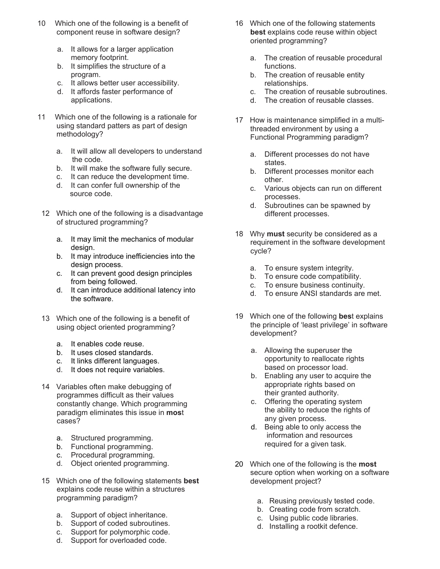- 10 Which one of the following is a benefit of component reuse in software design?
	- a. It allows for a larger application memory footprint.
	- b. It simplifies the structure of a program.
	- c. It allows better user accessibility.
	- d. It affords faster performance of applications.
- 11 Which one of the following is a rationale for using standard patters as part of design methodology?
	- a. It will allow all developers to understand the code.
	- b. It will make the software fully secure.
	- c. It can reduce the development time.
	- d. It can confer full ownership of the source code.
- 12 Which one of the following is a disadvantage of structured programming?
	- a. It may limit the mechanics of modular design.
	- b. It may introduce inefficiencies into the design process.
	- c. It can prevent good design principles from being followed.
	- d. It can introduce additional latency into the software.
- 13 Which one of the following is a benefit of using object oriented programming?
	- a. It enables code reuse.
	- b. It uses closed standards.
	- c. It links different languages.
	- d. It does not require variables.
- 14 Variables often make debugging of programmes difficult as their values constantly change. Which programming paradigm eliminates this issue in **mos**t cases?
	- a. Structured programming.
	- b. Functional programming.
	- c. Procedural programming.
	- d. Object oriented programming.
- 15 Which one of the following statements **best** explains code reuse within a structures programming paradigm?
	- a. Support of object inheritance.
	- b. Support of coded subroutines.
	- c. Support for polymorphic code.
	- d. Support for overloaded code.
- 16 Which one of the following statements **best** explains code reuse within object oriented programming?
	- a. The creation of reusable procedural functions.
	- b. The creation of reusable entity relationships.
	- c. The creation of reusable subroutines.
	- d. The creation of reusable classes.
- 17 How is maintenance simplified in a multithreaded environment by using a Functional Programming paradigm?
	- a. Different processes do not have states.
	- b. Different processes monitor each other.
	- c. Various objects can run on different processes.
	- d. Subroutines can be spawned by different processes.
- 18 Why **must** security be considered as a requirement in the software development cycle?
	- a. To ensure system integrity.
	- b. To ensure code compatibility.
	- c. To ensure business continuity.
	- d. To ensure ANSI standards are met.
- 19 Which one of the following **bes**t explains the principle of 'least privilege' in software development?
	- a. Allowing the superuser the opportunity to reallocate rights based on processor load.
	- b. Enabling any user to acquire the appropriate rights based on their granted authority.
	- c. Offering the operating system the ability to reduce the rights of any given process.
	- d. Being able to only access the information and resources required for a given task.
- 20 Which one of the following is the **most** secure option when working on a software development project?
	- a. Reusing previously tested code.
	- b. Creating code from scratch.
	- c. Using public code libraries.
	- d. Installing a rootkit defence.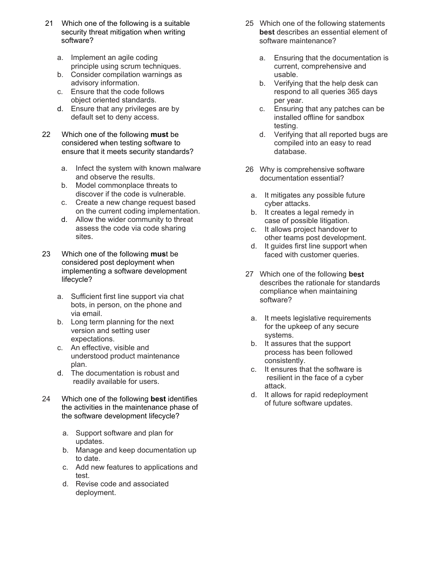- 21 Which one of the following is a suitable security threat mitigation when writing software?
	- a. Implement an agile coding principle using scrum techniques.
	- b. Consider compilation warnings as advisory information.
	- c. Ensure that the code follows object oriented standards.
	- d. Ensure that any privileges are by default set to deny access.
- 22 Which one of the following **must** be considered when testing software to ensure that it meets security standards?
	- a. Infect the system with known malware and observe the results.
	- b. Model commonplace threats to discover if the code is vulnerable.
	- c. Create a new change request based on the current coding implementation.
	- d. Allow the wider community to threat assess the code via code sharing sites.
- 23 Which one of the following **mus**t be considered post deployment when implementing a software development lifecycle?
	- a. Sufficient first line support via chat bots, in person, on the phone and via email.
	- b. Long term planning for the next version and setting user expectations.
	- c. An effective, visible and understood product maintenance plan.
	- d. The documentation is robust and readily available for users.
- 24 Which one of the following **best** identifies the activities in the maintenance phase of the software development lifecycle?
	- a. Support software and plan for updates.
	- b. Manage and keep documentation up to date.
	- c. Add new features to applications and test.
	- d. Revise code and associated deployment.
- 25 Which one of the following statements **best** describes an essential element of software maintenance?
	- a. Ensuring that the documentation is current, comprehensive and usable.
	- b. Verifying that the help desk can respond to all queries 365 days per year.
	- c. Ensuring that any patches can be installed offline for sandbox testing.
	- d. Verifying that all reported bugs are compiled into an easy to read database.
- 26 Why is comprehensive software documentation essential?
	- a. It mitigates any possible future cyber attacks.
	- b. It creates a legal remedy in case of possible litigation.
	- c. It allows project handover to other teams post development.
	- d. It guides first line support when faced with customer queries.
- 27 Which one of the following **best** describes the rationale for standards compliance when maintaining software?
	- a. It meets legislative requirements for the upkeep of any secure systems.
	- b. It assures that the support process has been followed consistently.
	- c. It ensures that the software is resilient in the face of a cyber attack.
	- d. It allows for rapid redeployment of future software updates.